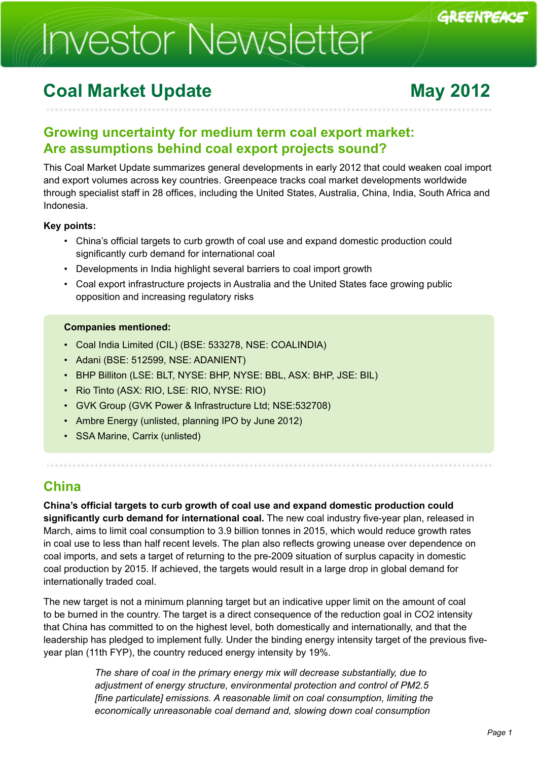# **Investor Newsletter**

## **Coal Market Update <b>May 2012**

GREENPEACE

## **Growing uncertainty for medium term coal export market: Are assumptions behind coal export projects sound?**

This Coal Market Update summarizes general developments in early 2012 that could weaken coal import and export volumes across key countries. Greenpeace tracks coal market developments worldwide through specialist staff in 28 offices, including the United States, Australia, China, India, South Africa and Indonesia.

### **Key points:**

- China's official targets to curb growth of coal use and expand domestic production could significantly curb demand for international coal
- Developments in India highlight several barriers to coal import growth
- Coal export infrastructure projects in Australia and the United States face growing public opposition and increasing regulatory risks

#### **Companies mentioned:**

- Coal India Limited (CIL) (BSE: 533278, NSE: COALINDIA)
- Adani (BSE: 512599, NSE: ADANIENT)
- BHP Billiton (LSE: BLT, NYSE: BHP, NYSE: BBL, ASX: BHP, JSE: BIL)
- Rio Tinto (ASX: RIO, LSE: RIO, NYSE: RIO)
- GVK Group (GVK Power & Infrastructure Ltd; NSE:532708)
- Ambre Energy (unlisted, planning IPO by June 2012)
- SSA Marine, Carrix (unlisted)

## **China**

**China's official targets to curb growth of coal use and expand domestic production could significantly curb demand for international coal.** The new coal industry five-year plan, released in March, aims to limit coal consumption to 3.9 billion tonnes in 2015, which would reduce growth rates in coal use to less than half recent levels. The plan also reflects growing unease over dependence on coal imports, and sets a target of returning to the pre-2009 situation of surplus capacity in domestic coal production by 2015. If achieved, the targets would result in a large drop in global demand for internationally traded coal.

The new target is not a minimum planning target but an indicative upper limit on the amount of coal to be burned in the country. The target is a direct consequence of the reduction goal in CO2 intensity that China has committed to on the highest level, both domestically and internationally, and that the leadership has pledged to implement fully. Under the binding energy intensity target of the previous fiveyear plan (11th FYP), the country reduced energy intensity by 19%.

> *The share of coal in the primary energy mix will decrease substantially, due to adjustment of energy structure, environmental protection and control of PM2.5 [fine particulate] emissions. A reasonable limit on coal consumption, limiting the economically unreasonable coal demand and, slowing down coal consumption*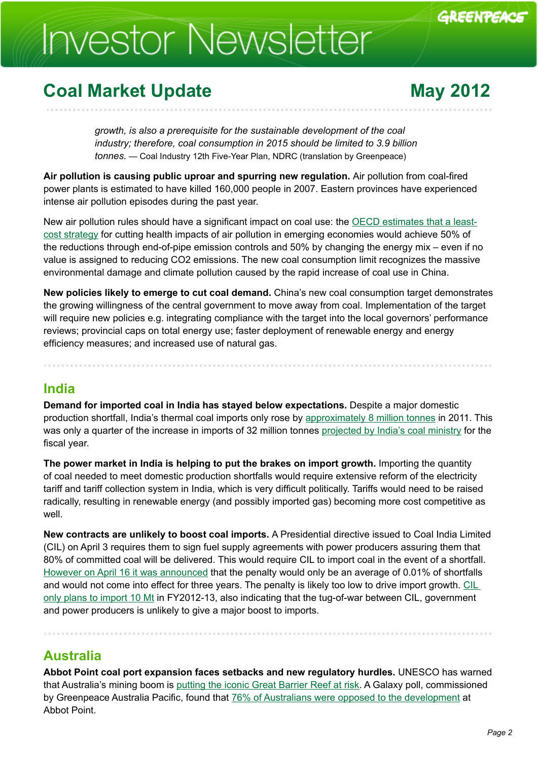# **Investor Newsletter**

## **Coal Market Update <b>May 2012**

GREENPEACE

*growth, is also a prerequisite for the sustainable development of the coal industry; therefore, coal consumption in 2015 should be limited to 3.9 billion tonnes. —* Coal Industry 12th Five-Year Plan, NDRC (translation by Greenpeace)

**Air pollution is causing public uproar and spurring new regulation.** Air pollution from coal-fired power plants is estimated to have killed 160,000 people in 2007. Eastern provinces have experienced intense air pollution episodes during the past year.

New air pollution rules should have a significant impact on coal use: the [OECD estimates that a least](http://www.oecd.org/document/11/0,3746,en_2649_37465_49036555_1_1_1_37465,00.html)[cost strategy](http://www.oecd.org/document/11/0,3746,en_2649_37465_49036555_1_1_1_37465,00.html) for cutting health impacts of air pollution in emerging economies would achieve 50% of the reductions through end-of-pipe emission controls and 50% by changing the energy mix – even if no value is assigned to reducing CO2 emissions. The new coal consumption limit recognizes the massive environmental damage and climate pollution caused by the rapid increase of coal use in China.

**New policies likely to emerge to cut coal demand.** China's new coal consumption target demonstrates the growing willingness of the central government to move away from coal. Implementation of the target will require new policies e.g. integrating compliance with the target into the local governors' performance reviews; provincial caps on total energy use; faster deployment of renewable energy and energy efficiency measures; and increased use of natural gas.

### **India**

**Demand for imported coal in India has stayed below expectations.** Despite a major domestic production shortfall, India's thermal coal imports only rose by [approximately 8 million tonnes](http://www.oecd.org/document/11/0,3746,en_2649_37465_49036555_1_1_1_37465,00.html) in 2011. This was only a quarter of the increase in imports of 32 million tonnes [projected by India's coal ministry](http://in.reuters.com/article/2011/02/03/idINIndia-54617620110203) for the fiscal year.

**The power market in India is helping to put the brakes on import growth.** Importing the quantity of coal needed to meet domestic production shortfalls would require extensive reform of the electricity tariff and tariff collection system in India, which is very difficult politically. Tariffs would need to be raised radically, resulting in renewable energy (and possibly imported gas) becoming more cost competitive as well.

**New contracts are unlikely to boost coal imports.** A Presidential directive issued to Coal India Limited (CIL) on April 3 requires them to sign fuel supply agreements with power producers assuring them that 80% of committed coal will be delivered. This would require CIL to import coal in the event of a shortfall. [However on April 16 it was announced](http://www.reuters.com/article/2012/04/16/coalindia-agreements-idUSL3E8FG8I020120416) that the penalty would only be an average of 0.01% of shortfalls and would not come into effect for three years. The penalty is likely too low to drive import growth. [CIL](http://www.nasdaq.com/article/cil-likely-to-import-10-mt-coal-in-fy13-20120409-00046)  [only plans to import 10 Mt](http://www.nasdaq.com/article/cil-likely-to-import-10-mt-coal-in-fy13-20120409-00046) in FY2012-13, also indicating that the tug-of-war between CIL, government and power producers is unlikely to give a major boost to imports.

### **Australia**

**Abbot Point coal port expansion faces setbacks and new regulatory hurdles.** UNESCO has warned that Australia's mining boom is [putting the iconic Great Barrier Reef at risk.](http://www.guardian.co.uk/environment/2012/mar/06/great-barrier-reef-mining-boom) A Galaxy poll, commissioned by Greenpeace Australia Pacific, found that [76% of Australians were opposed to the development](http://www.whitsundaytimes.com.au/story/2012/03/16/poll-against-port-greenpeace/) at Abbot Point.